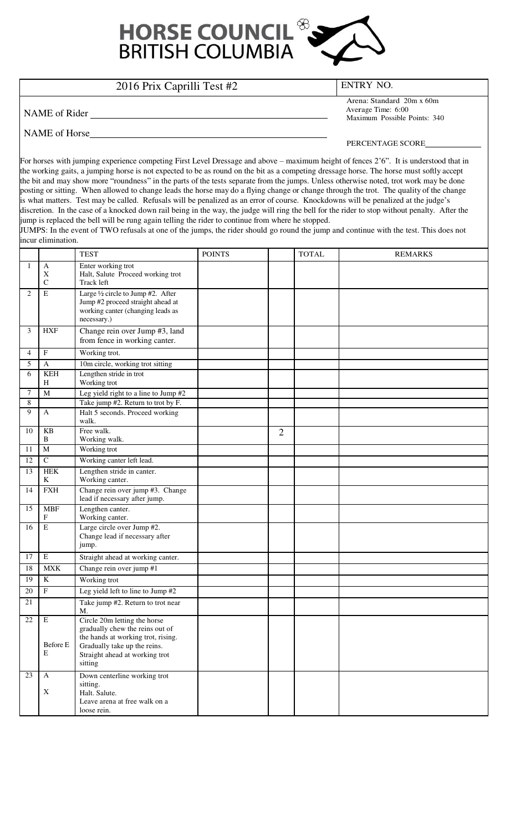

## 2016 Prix Caprilli Test #2 ENTRY NO.

NAME of Rider

Arena: Standard 20m x 60m Average Time: 6:00 Maximum Possible Points: 340

## NAME of Horse

PERCENTAGE SCORE

For horses with jumping experience competing First Level Dressage and above – maximum height of fences 2'6". It is understood that in the working gaits, a jumping horse is not expected to be as round on the bit as a competing dressage horse. The horse must softly accept the bit and may show more "roundness" in the parts of the tests separate from the jumps. Unless otherwise noted, trot work may be done posting or sitting. When allowed to change leads the horse may do a flying change or change through the trot. The quality of the change is what matters. Test may be called. Refusals will be penalized as an error of course. Knockdowns will be penalized at the judge's discretion. In the case of a knocked down rail being in the way, the judge will ring the bell for the rider to stop without penalty. After the jump is replaced the bell will be rung again telling the rider to continue from where he stopped.

JUMPS: In the event of TWO refusals at one of the jumps, the rider should go round the jump and continue with the test. This does not incur elimination.

|                |                                 | <b>TEST</b>                                                                                                                                                                        | <b>POINTS</b> |                | <b>TOTAL</b> | <b>REMARKS</b> |
|----------------|---------------------------------|------------------------------------------------------------------------------------------------------------------------------------------------------------------------------------|---------------|----------------|--------------|----------------|
| -1             | A<br>X<br>$\mathsf{C}$          | Enter working trot<br>Halt, Salute Proceed working trot<br>Track left                                                                                                              |               |                |              |                |
| $\overline{2}$ | $\mathbf E$                     | Large 1/2 circle to Jump #2. After<br>Jump #2 proceed straight ahead at<br>working canter (changing leads as<br>necessary.)                                                        |               |                |              |                |
| 3              | <b>HXF</b>                      | Change rein over Jump #3, land<br>from fence in working canter.                                                                                                                    |               |                |              |                |
| 4              | $\mathbf F$                     | Working trot.                                                                                                                                                                      |               |                |              |                |
| 5              | $\mathbf{A}$                    | 10m circle, working trot sitting                                                                                                                                                   |               |                |              |                |
| 6              | <b>KEH</b><br>H                 | Lengthen stride in trot<br>Working trot                                                                                                                                            |               |                |              |                |
| 7              | M                               | Leg yield right to a line to Jump #2                                                                                                                                               |               |                |              |                |
| 8<br>9         |                                 | Take jump #2. Return to trot by F.                                                                                                                                                 |               |                |              |                |
|                | $\mathbf{A}$                    | Halt 5 seconds. Proceed working<br>walk.                                                                                                                                           |               |                |              |                |
| 10             | KB<br>B                         | Free walk.<br>Working walk.                                                                                                                                                        |               | $\overline{2}$ |              |                |
| 11             | M                               | Working trot                                                                                                                                                                       |               |                |              |                |
| 12             | $\mathsf{C}$                    | Working canter left lead.                                                                                                                                                          |               |                |              |                |
| 13             | <b>HEK</b><br>K                 | Lengthen stride in canter.<br>Working canter.                                                                                                                                      |               |                |              |                |
| 14             | <b>FXH</b>                      | Change rein over jump #3. Change<br>lead if necessary after jump.                                                                                                                  |               |                |              |                |
| 15             | <b>MBF</b><br>$\mathbf F$       | Lengthen canter.<br>Working canter.                                                                                                                                                |               |                |              |                |
| 16             | E                               | Large circle over Jump #2.<br>Change lead if necessary after<br>jump.                                                                                                              |               |                |              |                |
| 17             | $\,$ E                          | Straight ahead at working canter.                                                                                                                                                  |               |                |              |                |
| 18             | <b>MXK</b>                      | Change rein over jump #1                                                                                                                                                           |               |                |              |                |
| 19             | $\bf K$                         | Working trot                                                                                                                                                                       |               |                |              |                |
| 20             | $\overline{\mathrm{F}}$         | Leg yield left to line to Jump #2                                                                                                                                                  |               |                |              |                |
| 21             |                                 | Take jump #2. Return to trot near<br>M.                                                                                                                                            |               |                |              |                |
| $22\,$         | $\overline{E}$<br>Before E<br>E | Circle 20m letting the horse<br>gradually chew the reins out of<br>the hands at working trot, rising.<br>Gradually take up the reins.<br>Straight ahead at working trot<br>sitting |               |                |              |                |
| 23             | $\mathbf{A}$<br>$\mathbf X$     | Down centerline working trot<br>sitting.<br>Halt. Salute.<br>Leave arena at free walk on a<br>loose rein.                                                                          |               |                |              |                |